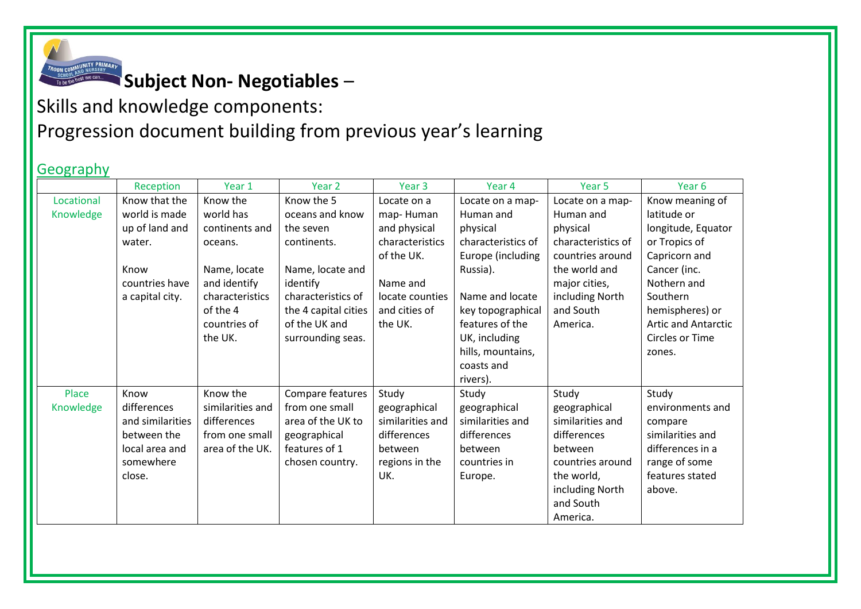

## **Subject Non- Negotiables** –

Skills and knowledge components: Progression document building from previous year's learning

## **Geography**

|            | Reception        | Year 1           | Year <sub>2</sub>    | Year <sub>3</sub> | Year 4             | Year <sub>5</sub>  | Year <sub>6</sub>          |
|------------|------------------|------------------|----------------------|-------------------|--------------------|--------------------|----------------------------|
| Locational | Know that the    | Know the         | Know the 5           | Locate on a       | Locate on a map-   | Locate on a map-   | Know meaning of            |
| Knowledge  | world is made    | world has        | oceans and know      | map-Human         | Human and          | Human and          | latitude or                |
|            | up of land and   | continents and   | the seven            | and physical      | physical           | physical           | longitude, Equator         |
|            | water.           | oceans.          | continents.          | characteristics   | characteristics of | characteristics of | or Tropics of              |
|            |                  |                  |                      | of the UK.        | Europe (including  | countries around   | Capricorn and              |
|            | Know             | Name, locate     | Name, locate and     |                   | Russia).           | the world and      | Cancer (inc.               |
|            | countries have   | and identify     | identify             | Name and          |                    | major cities,      | Nothern and                |
|            | a capital city.  | characteristics  | characteristics of   | locate counties   | Name and locate    | including North    | Southern                   |
|            |                  | of the 4         | the 4 capital cities | and cities of     | key topographical  | and South          | hemispheres) or            |
|            |                  | countries of     | of the UK and        | the UK.           | features of the    | America.           | <b>Artic and Antarctic</b> |
|            |                  | the UK.          | surrounding seas.    |                   | UK, including      |                    | Circles or Time            |
|            |                  |                  |                      |                   | hills, mountains,  |                    | zones.                     |
|            |                  |                  |                      |                   | coasts and         |                    |                            |
|            |                  |                  |                      |                   | rivers).           |                    |                            |
| Place      | Know             | Know the         | Compare features     | Study             | Study              | Study              | Study                      |
| Knowledge  | differences      | similarities and | from one small       | geographical      | geographical       | geographical       | environments and           |
|            | and similarities | differences      | area of the UK to    | similarities and  | similarities and   | similarities and   | compare                    |
|            | between the      | from one small   | geographical         | differences       | differences        | differences        | similarities and           |
|            | local area and   | area of the UK.  | features of 1        | between           | between            | between            | differences in a           |
|            | somewhere        |                  | chosen country.      | regions in the    | countries in       | countries around   | range of some              |
|            | close.           |                  |                      | UK.               | Europe.            | the world,         | features stated            |
|            |                  |                  |                      |                   |                    | including North    | above.                     |
|            |                  |                  |                      |                   |                    | and South          |                            |
|            |                  |                  |                      |                   |                    | America.           |                            |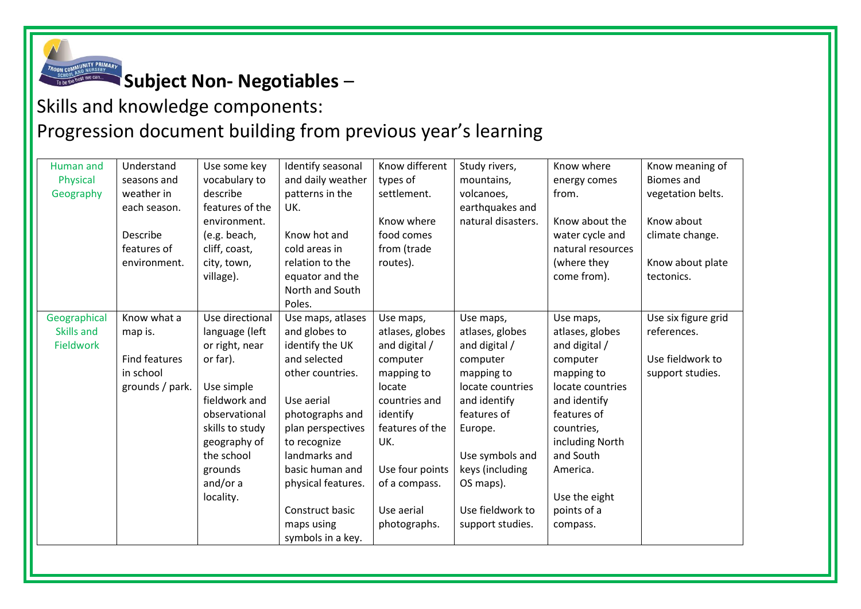

**Subject Non- Negotiables** –

## Skills and knowledge components: Progression document building from previous year's learning

| Human and        | Understand           | Use some key    | Identify seasonal  | Know different  | Study rivers,      | Know where        | Know meaning of     |
|------------------|----------------------|-----------------|--------------------|-----------------|--------------------|-------------------|---------------------|
| Physical         | seasons and          | vocabulary to   | and daily weather  | types of        | mountains,         | energy comes      | <b>Biomes and</b>   |
| Geography        | weather in           | describe        | patterns in the    | settlement.     | volcanoes,         | from.             | vegetation belts.   |
|                  | each season.         | features of the | UK.                |                 | earthquakes and    |                   |                     |
|                  |                      | environment.    |                    | Know where      | natural disasters. | Know about the    | Know about          |
|                  | Describe             | (e.g. beach,    | Know hot and       | food comes      |                    | water cycle and   | climate change.     |
|                  | features of          | cliff, coast,   | cold areas in      | from (trade     |                    | natural resources |                     |
|                  | environment.         | city, town,     | relation to the    | routes).        |                    | (where they       | Know about plate    |
|                  |                      | village).       | equator and the    |                 |                    | come from).       | tectonics.          |
|                  |                      |                 | North and South    |                 |                    |                   |                     |
|                  |                      |                 | Poles.             |                 |                    |                   |                     |
| Geographical     | Know what a          | Use directional | Use maps, atlases  | Use maps,       | Use maps,          | Use maps,         | Use six figure grid |
| Skills and       | map is.              | language (left  | and globes to      | atlases, globes | atlases, globes    | atlases, globes   | references.         |
| <b>Fieldwork</b> |                      | or right, near  | identify the UK    | and digital /   | and digital /      | and digital /     |                     |
|                  | <b>Find features</b> | or far).        | and selected       | computer        | computer           | computer          | Use fieldwork to    |
|                  | in school            |                 | other countries.   | mapping to      | mapping to         | mapping to        | support studies.    |
|                  | grounds / park.      | Use simple      |                    | locate          | locate countries   | locate countries  |                     |
|                  |                      | fieldwork and   | Use aerial         | countries and   | and identify       | and identify      |                     |
|                  |                      | observational   | photographs and    | identify        | features of        | features of       |                     |
|                  |                      | skills to study | plan perspectives  | features of the | Europe.            | countries,        |                     |
|                  |                      | geography of    | to recognize       | UK.             |                    | including North   |                     |
|                  |                      | the school      | landmarks and      |                 | Use symbols and    | and South         |                     |
|                  |                      | grounds         | basic human and    | Use four points | keys (including    | America.          |                     |
|                  |                      | and/or a        | physical features. | of a compass.   | OS maps).          |                   |                     |
|                  |                      | locality.       |                    |                 |                    | Use the eight     |                     |
|                  |                      |                 | Construct basic    | Use aerial      | Use fieldwork to   | points of a       |                     |
|                  |                      |                 | maps using         | photographs.    | support studies.   | compass.          |                     |
|                  |                      |                 | symbols in a key.  |                 |                    |                   |                     |